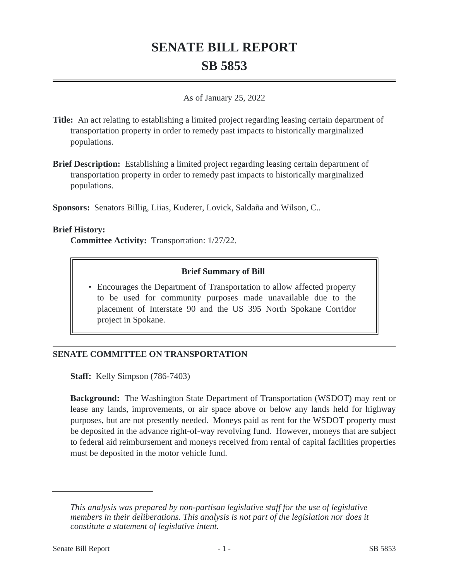# **SENATE BILL REPORT SB 5853**

### As of January 25, 2022

- **Title:** An act relating to establishing a limited project regarding leasing certain department of transportation property in order to remedy past impacts to historically marginalized populations.
- **Brief Description:** Establishing a limited project regarding leasing certain department of transportation property in order to remedy past impacts to historically marginalized populations.

**Sponsors:** Senators Billig, Liias, Kuderer, Lovick, Saldaña and Wilson, C..

### **Brief History:**

**Committee Activity:** Transportation: 1/27/22.

### **Brief Summary of Bill**

• Encourages the Department of Transportation to allow affected property to be used for community purposes made unavailable due to the placement of Interstate 90 and the US 395 North Spokane Corridor project in Spokane.

# **SENATE COMMITTEE ON TRANSPORTATION**

**Staff:** Kelly Simpson (786-7403)

**Background:** The Washington State Department of Transportation (WSDOT) may rent or lease any lands, improvements, or air space above or below any lands held for highway purposes, but are not presently needed. Moneys paid as rent for the WSDOT property must be deposited in the advance right-of-way revolving fund. However, moneys that are subject to federal aid reimbursement and moneys received from rental of capital facilities properties must be deposited in the motor vehicle fund.

*This analysis was prepared by non-partisan legislative staff for the use of legislative members in their deliberations. This analysis is not part of the legislation nor does it constitute a statement of legislative intent.*